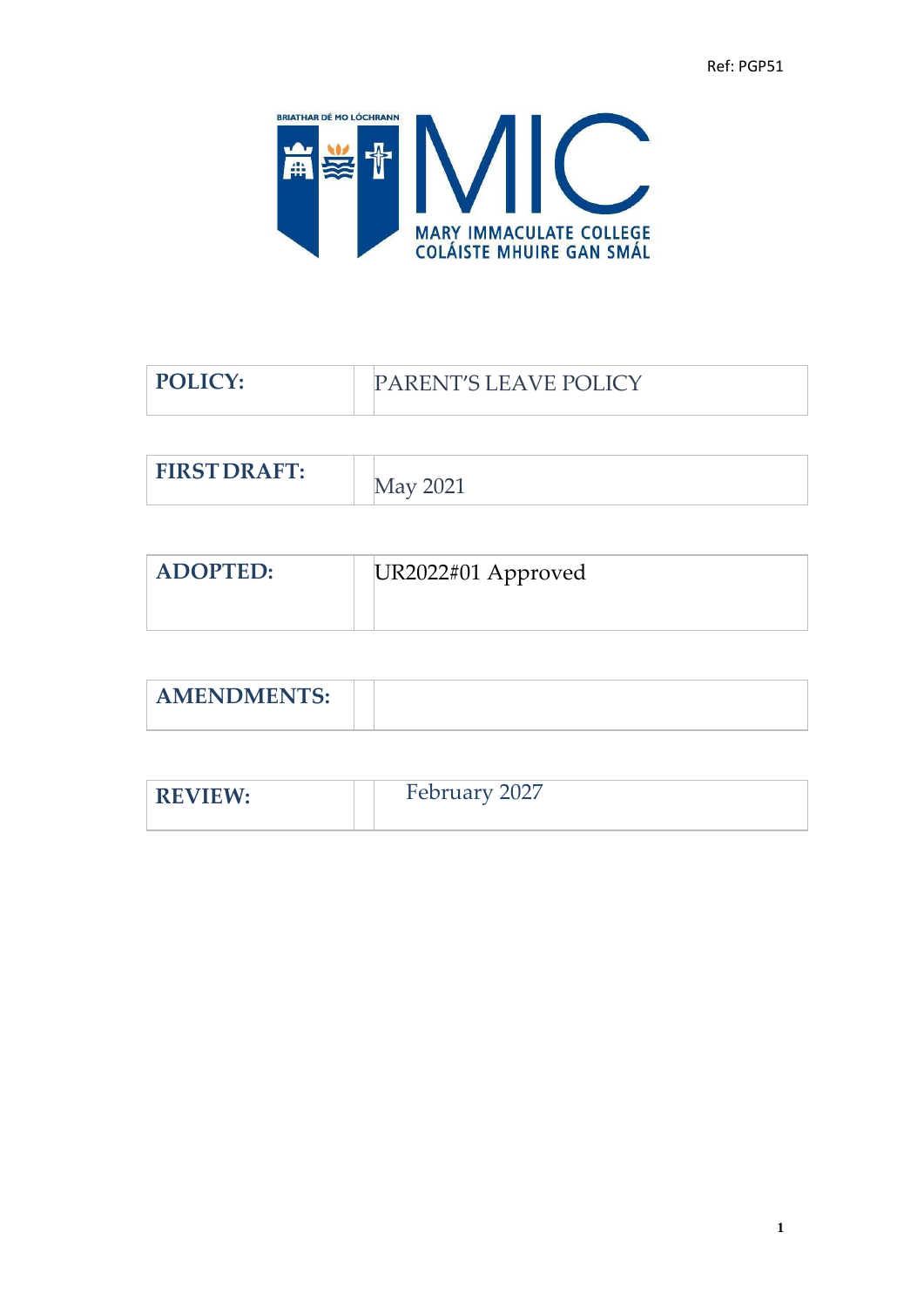

| <b>PARENT'S LEAVE POLICY</b> |
|------------------------------|
|                              |
| May 2021                     |
|                              |

| <b>ADOPTED:</b> | UR2022#01 Approved |
|-----------------|--------------------|
|                 |                    |

| <b>AMENDMENTS</b><br>AIVILINDIVILIN 10. |  |
|-----------------------------------------|--|

| <b>REVIEW:</b> | February 2027 |
|----------------|---------------|
|                |               |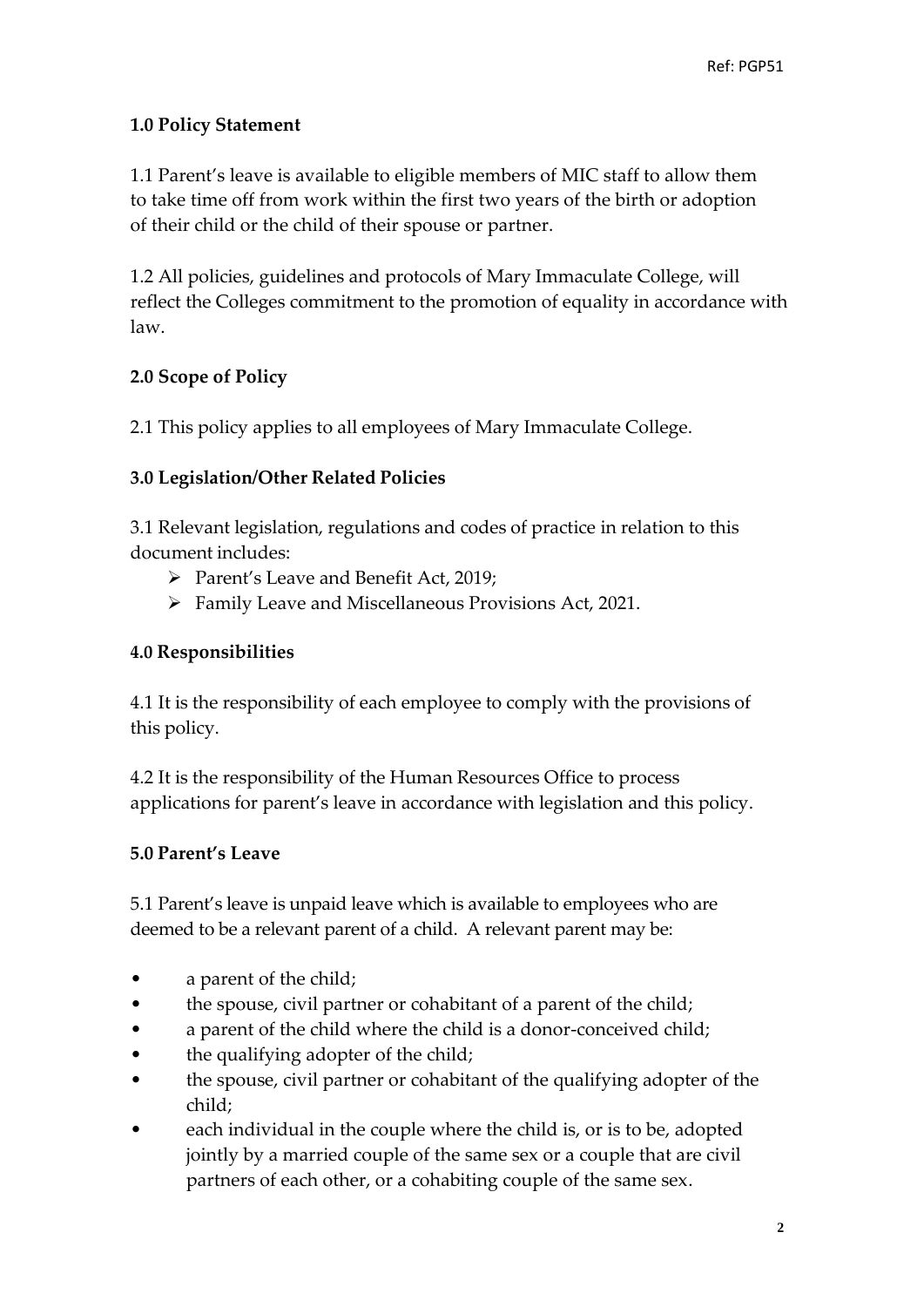## **1.0 Policy Statement**

1.1 Parent's leave is available to eligible members of MIC staff to allow them to take time off from work within the first two years of the birth or adoption of their child or the child of their spouse or partner.

1.2 All policies, guidelines and protocols of Mary Immaculate College, will reflect the Colleges commitment to the promotion of equality in accordance with law.

## **2.0 Scope of Policy**

2.1 This policy applies to all employees of Mary Immaculate College.

## **3.0 Legislation/Other Related Policies**

3.1 Relevant legislation, regulations and codes of practice in relation to this document includes:

- ➢ Parent's Leave and Benefit Act, 2019;
- ➢ Family Leave and Miscellaneous Provisions Act, 2021.

### **4.0 Responsibilities**

4.1 It is the responsibility of each employee to comply with the provisions of this policy.

4.2 It is the responsibility of the Human Resources Office to process applications for parent's leave in accordance with legislation and this policy.

# **5.0 Parent's Leave**

5.1 Parent's leave is unpaid leave which is available to employees who are deemed to be a relevant parent of a child. A relevant parent may be:

- a parent of the child;
- the spouse, civil partner or cohabitant of a parent of the child;
- a parent of the child where the child is a donor-conceived child;
- the qualifying adopter of the child;
- the spouse, civil partner or cohabitant of the qualifying adopter of the child;
- each individual in the couple where the child is, or is to be, adopted jointly by a married couple of the same sex or a couple that are civil partners of each other, or a cohabiting couple of the same sex.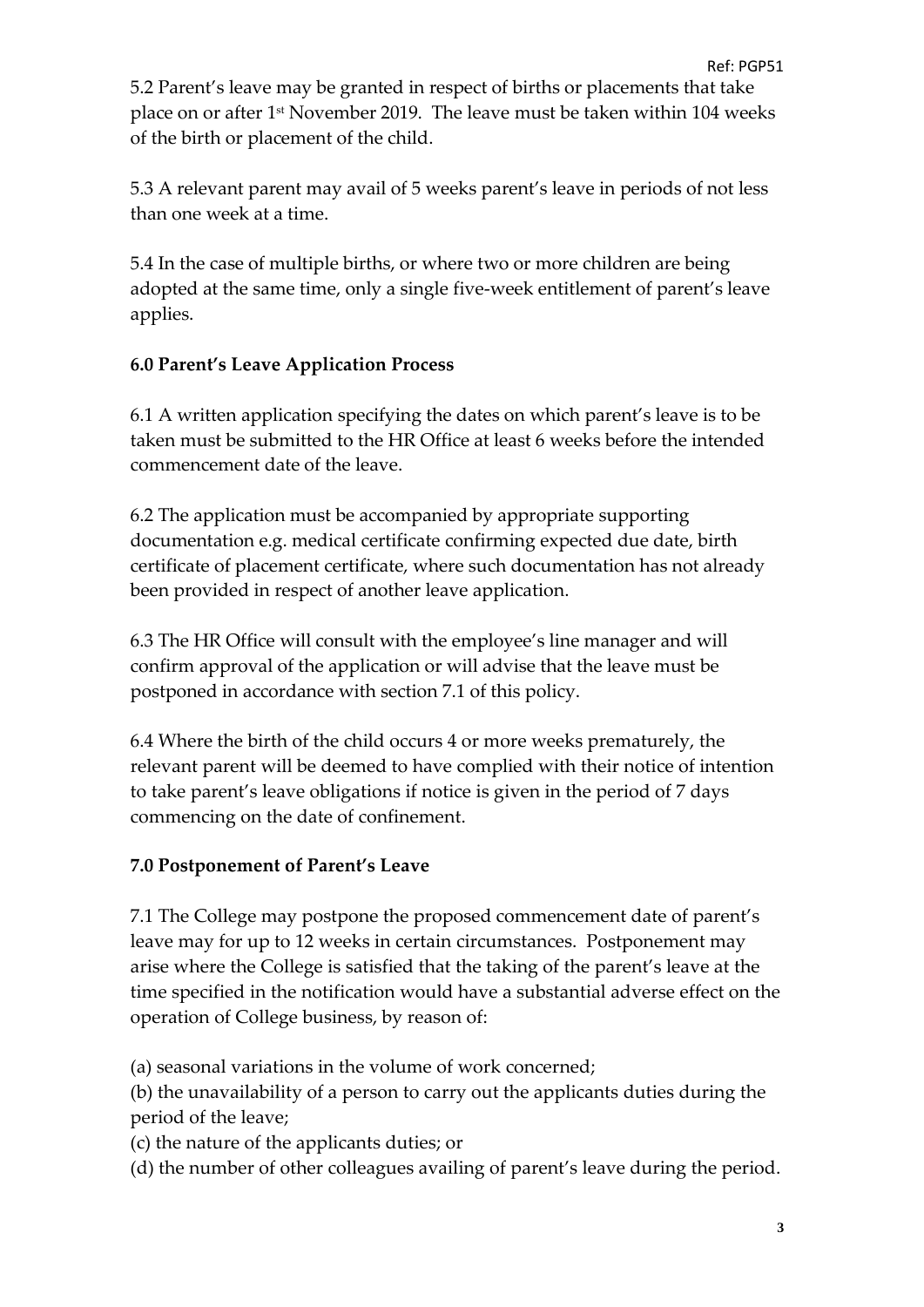5.2 Parent's leave may be granted in respect of births or placements that take place on or after 1st November 2019. The leave must be taken within 104 weeks of the birth or placement of the child.

5.3 A relevant parent may avail of 5 weeks parent's leave in periods of not less than one week at a time.

5.4 In the case of multiple births, or where two or more children are being adopted at the same time, only a single five-week entitlement of parent's leave applies.

# **6.0 Parent's Leave Application Process**

6.1 A written application specifying the dates on which parent's leave is to be taken must be submitted to the HR Office at least 6 weeks before the intended commencement date of the leave.

6.2 The application must be accompanied by appropriate supporting documentation e.g. medical certificate confirming expected due date, birth certificate of placement certificate, where such documentation has not already been provided in respect of another leave application.

6.3 The HR Office will consult with the employee's line manager and will confirm approval of the application or will advise that the leave must be postponed in accordance with section 7.1 of this policy.

6.4 Where the birth of the child occurs 4 or more weeks prematurely, the relevant parent will be deemed to have complied with their notice of intention to take parent's leave obligations if notice is given in the period of 7 days commencing on the date of confinement.

#### **7.0 Postponement of Parent's Leave**

7.1 The College may postpone the proposed commencement date of parent's leave may for up to 12 weeks in certain circumstances. Postponement may arise where the College is satisfied that the taking of the parent's leave at the time specified in the notification would have a substantial adverse effect on the operation of College business, by reason of:

(a) seasonal variations in the volume of work concerned;

(b) the unavailability of a person to carry out the applicants duties during the period of the leave;

(c) the nature of the applicants duties; or

(d) the number of other colleagues availing of parent's leave during the period.